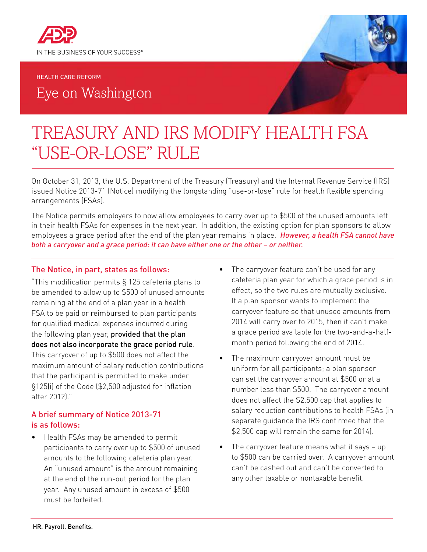

#### HEALTH CARE REFORM

Eye on Washington

# TREASURY AND IRS MODIFY HEALTH FSA "USE-OR-LOSE" RULE

On October 31, 2013, the U.S. Department of the Treasury (Treasury) and the Internal Revenue Service (IRS) issued Notice 2013-71 (Notice) modifying the longstanding "use-or-lose" rule for health flexible spending arrangements (FSAs).

The Notice permits employers to now allow employees to carry over up to \$500 of the unused amounts left in their health FSAs for expenses in the next year. In addition, the existing option for plan sponsors to allow employees a grace period after the end of the plan year remains in place. *However, a health FSA cannot have both a carryover and a grace period: it can have either one or the other – or neither.* 

#### The Notice, in part, states as follows:

"This modification permits § 125 cafeteria plans to be amended to allow up to \$500 of unused amounts remaining at the end of a plan year in a health FSA to be paid or reimbursed to plan participants for qualified medical expenses incurred during the following plan year, provided that the plan does not also incorporate the grace period rule. This carryover of up to \$500 does not affect the maximum amount of salary reduction contributions that the participant is permitted to make under §125(i) of the Code (\$2,500 adjusted for inflation after 2012)."

### A brief summary of Notice 2013-71 is as follows:

• Health FSAs may be amended to permit participants to carry over up to \$500 of unused amounts to the following cafeteria plan year. An "unused amount" is the amount remaining at the end of the run-out period for the plan year. Any unused amount in excess of \$500 must be forfeited.

- The carryover feature can't be used for any cafeteria plan year for which a grace period is in effect, so the two rules are mutually exclusive. If a plan sponsor wants to implement the carryover feature so that unused amounts from 2014 will carry over to 2015, then it can't make a grace period available for the two-and-a-halfmonth period following the end of 2014.
- The maximum carryover amount must be uniform for all participants; a plan sponsor can set the carryover amount at \$500 or at a number less than \$500. The carryover amount does not affect the \$2,500 cap that applies to salary reduction contributions to health FSAs (in separate guidance the IRS confirmed that the \$2,500 cap will remain the same for 2014).
- The carryover feature means what it says  $-$  up to \$500 can be carried over. A carryover amount can't be cashed out and can't be converted to any other taxable or nontaxable benefit.